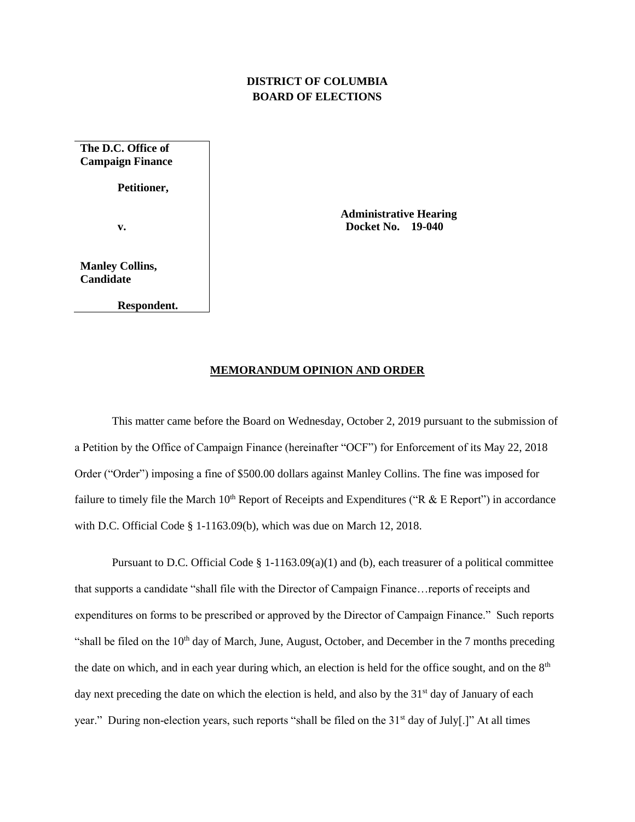## **DISTRICT OF COLUMBIA BOARD OF ELECTIONS**

**The D.C. Office of Campaign Finance**

**Petitioner,**

**v.**

**Manley Collins, Candidate**

**Respondent.**

 **Administrative Hearing Docket No. 19-040**

## **MEMORANDUM OPINION AND ORDER**

This matter came before the Board on Wednesday, October 2, 2019 pursuant to the submission of a Petition by the Office of Campaign Finance (hereinafter "OCF") for Enforcement of its May 22, 2018 Order ("Order") imposing a fine of \$500.00 dollars against Manley Collins. The fine was imposed for failure to timely file the March  $10^{th}$  Report of Receipts and Expenditures ("R & E Report") in accordance with D.C. Official Code § 1-1163.09(b), which was due on March 12, 2018.

Pursuant to D.C. Official Code § 1-1163.09(a)(1) and (b), each treasurer of a political committee that supports a candidate "shall file with the Director of Campaign Finance…reports of receipts and expenditures on forms to be prescribed or approved by the Director of Campaign Finance." Such reports "shall be filed on the  $10<sup>th</sup>$  day of March, June, August, October, and December in the 7 months preceding the date on which, and in each year during which, an election is held for the office sought, and on the 8<sup>th</sup> day next preceding the date on which the election is held, and also by the  $31<sup>st</sup>$  day of January of each year." During non-election years, such reports "shall be filed on the 31<sup>st</sup> day of July[.]" At all times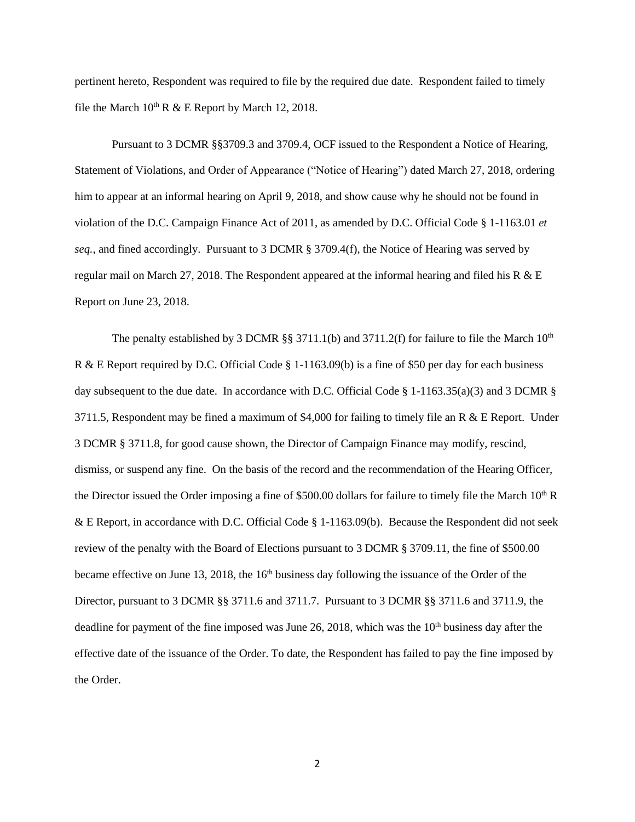pertinent hereto, Respondent was required to file by the required due date. Respondent failed to timely file the March  $10^{th}$  R & E Report by March 12, 2018.

Pursuant to 3 DCMR §§3709.3 and 3709.4, OCF issued to the Respondent a Notice of Hearing, Statement of Violations, and Order of Appearance ("Notice of Hearing") dated March 27, 2018, ordering him to appear at an informal hearing on April 9, 2018, and show cause why he should not be found in violation of the D.C. Campaign Finance Act of 2011, as amended by D.C. Official Code § 1-1163.01 *et seq.*, and fined accordingly. Pursuant to 3 DCMR § 3709.4(f), the Notice of Hearing was served by regular mail on March 27, 2018. The Respondent appeared at the informal hearing and filed his R  $\&$  E Report on June 23, 2018.

The penalty established by 3 DCMR  $\S$ § 3711.1(b) and 3711.2(f) for failure to file the March 10<sup>th</sup> R & E Report required by D.C. Official Code § 1-1163.09(b) is a fine of \$50 per day for each business day subsequent to the due date. In accordance with D.C. Official Code § 1-1163.35(a)(3) and 3 DCMR § 3711.5, Respondent may be fined a maximum of \$4,000 for failing to timely file an R  $\&$  E Report. Under 3 DCMR § 3711.8, for good cause shown, the Director of Campaign Finance may modify, rescind, dismiss, or suspend any fine. On the basis of the record and the recommendation of the Hearing Officer, the Director issued the Order imposing a fine of \$500.00 dollars for failure to timely file the March  $10<sup>th</sup> R$ & E Report, in accordance with D.C. Official Code § 1-1163.09(b). Because the Respondent did not seek review of the penalty with the Board of Elections pursuant to 3 DCMR § 3709.11, the fine of \$500.00 became effective on June 13, 2018, the 16<sup>th</sup> business day following the issuance of the Order of the Director, pursuant to 3 DCMR §§ 3711.6 and 3711.7. Pursuant to 3 DCMR §§ 3711.6 and 3711.9, the deadline for payment of the fine imposed was June 26, 2018, which was the  $10<sup>th</sup>$  business day after the effective date of the issuance of the Order. To date, the Respondent has failed to pay the fine imposed by the Order.

2